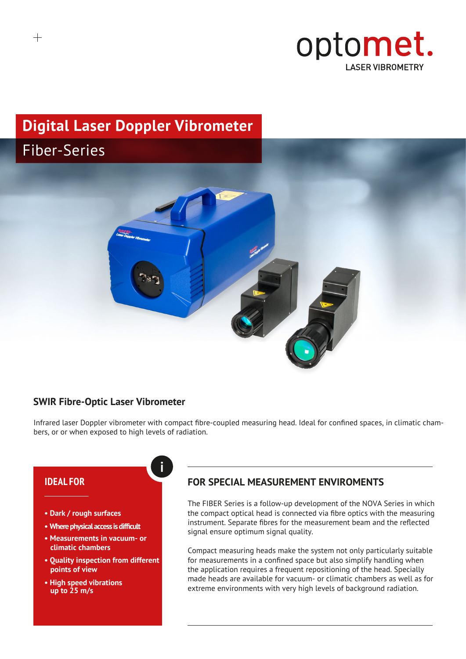

# **Digital Laser Doppler Vibrometer**  Fiber-Series



#### **SWIR Fibre-Optic Laser Vibrometer**

**i**

Infrared laser Doppler vibrometer with compact fibre-coupled measuring head. Ideal for confined spaces, in climatic chambers, or or when exposed to high levels of radiation.

#### **IDEAL FOR**

- **Dark / rough surfaces**
- **• Where physical access is difficult**
- **Measurements in vacuum- or climatic chambers**
- **Quality inspection from different points of view**
- **High speed vibrations up to 25 m/s**

## **FOR SPECIAL MEASUREMENT ENVIROMENTS**

The FIBER Series is a follow-up development of the NOVA Series in which the compact optical head is connected via fibre optics with the measuring instrument. Separate fibres for the measurement beam and the reflected signal ensure optimum signal quality.

Compact measuring heads make the system not only particularly suitable for measurements in a confined space but also simplify handling when the application requires a frequent repositioning of the head. Specially made heads are available for vacuum- or climatic chambers as well as for extreme environments with very high levels of background radiation.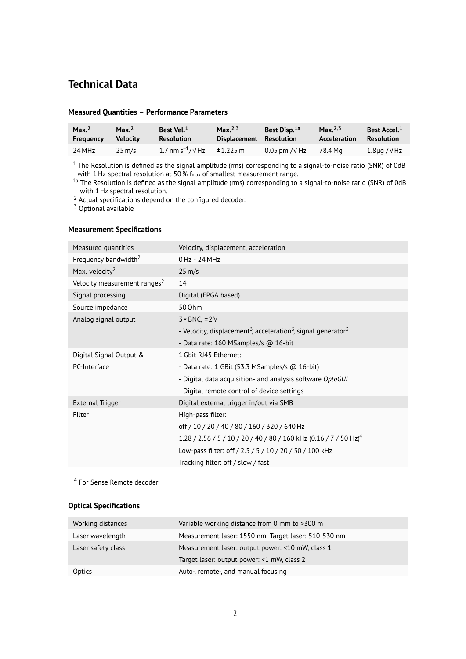## **Technical Data**

| Max. $2$         | Max. <sup>2</sup> | Best Vel. <sup>1</sup>               | Max. $^{2,3}$ | Best Disp. <sup>1a</sup> | Max. $^{2,3}$ | Best Accel. <sup>1</sup> |
|------------------|-------------------|--------------------------------------|---------------|--------------------------|---------------|--------------------------|
| <b>Frequency</b> | <b>Velocity</b>   | <b>Resolution</b>                    | Displacement  | Resolution               | Acceleration  | Resolution               |
| 24 MHz           | $25 \text{ m/s}$  | 1.7 nm s <sup>-1</sup> / $\sqrt{Hz}$ | $\pm 1.225$ m | $0.05$ pm / $\sqrt{Hz}$  | 78.4 Ma       | $1.8\mu$ g / $\sqrt{Hz}$ |

#### **Measured Quantities – Performance Parameters**

<sup>1</sup> The Resolution is defined as the signal amplitude (rms) corresponding to a signal-to-noise ratio (SNR) of 0dB with 1Hz spectral resolution at 50 % fmax of smallest measurement range.

 $^{1a}$  The Resolution is defined as the signal amplitude (rms) corresponding to a signal-to-noise ratio (SNR) of 0dB with 1Hz spectral resolution.

2 Actual specifications depend on the configured decoder.

 $3$  Optional available

#### **Measurement Specifications**

| Measured quantities                      | Velocity, displacement, acceleration                                                              |
|------------------------------------------|---------------------------------------------------------------------------------------------------|
| Frequency bandwidth <sup>2</sup>         | 0 Hz - 24 MHz                                                                                     |
| Max. velocity $2$                        | $25 \text{ m/s}$                                                                                  |
| Velocity measurement ranges <sup>2</sup> | 14                                                                                                |
| Signal processing                        | Digital (FPGA based)                                                                              |
| Source impedance                         | 50 Ohm                                                                                            |
| Analog signal output                     | $3 \times BNC, \pm 2V$                                                                            |
|                                          | - Velocity, displacement <sup>3</sup> , acceleration <sup>3</sup> , signal generator <sup>3</sup> |
|                                          | - Data rate: 160 MSamples/s @ 16-bit                                                              |
| Digital Signal Output &                  | 1 Gbit RJ45 Ethernet:                                                                             |
| PC-Interface                             | - Data rate: $1$ GBit (53.3 MSamples/s $@$ 16-bit)                                                |
|                                          | - Digital data acquisition- and analysis software OptoGUI                                         |
|                                          | - Digital remote control of device settings                                                       |
| <b>External Trigger</b>                  | Digital external trigger in/out via SMB                                                           |
| Filter                                   | High-pass filter:                                                                                 |
|                                          | off / 10 / 20 / 40 / 80 / 160 / 320 / 640 Hz                                                      |
|                                          | 1.28 / 2.56 / 5 / 10 / 20 / 40 / 80 / 160 kHz (0.16 / 7 / 50 Hz) <sup>4</sup>                     |
|                                          | Low-pass filter: off / 2.5 / 5 / 10 / 20 / 50 / 100 kHz                                           |
|                                          | Tracking filter: off / slow / fast                                                                |

<sup>4</sup> For Sense Remote decoder

#### **Optical Specifications**

| Working distances  | Variable working distance from 0 mm to >300 m        |
|--------------------|------------------------------------------------------|
| Laser wavelength   | Measurement laser: 1550 nm, Target laser: 510-530 nm |
| Laser safety class | Measurement laser: output power: <10 mW, class 1     |
|                    | Target laser: output power: <1 mW, class 2           |
| Optics             | Auto-, remote-, and manual focusing                  |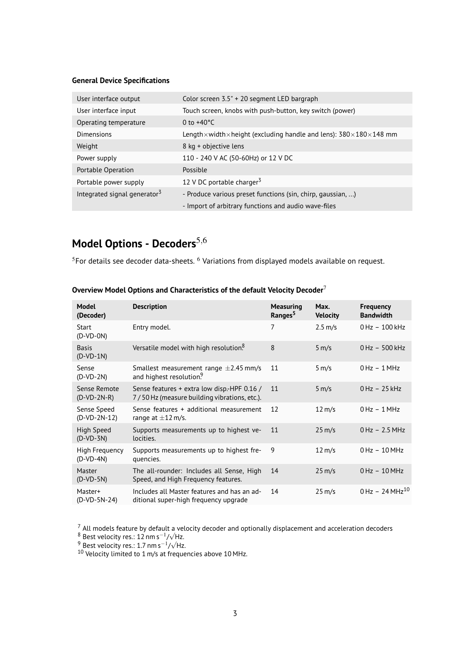#### **General Device Specifications**

| User interface output                    | Color screen 3.5" + 20 segment LED bargraph                                                         |
|------------------------------------------|-----------------------------------------------------------------------------------------------------|
| User interface input                     | Touch screen, knobs with push-button, key switch (power)                                            |
| Operating temperature                    | 0 to $+40^{\circ}$ C                                                                                |
| Dimensions                               | Length $\times$ width $\times$ height (excluding handle and lens): 380 $\times$ 180 $\times$ 148 mm |
| Weight                                   | 8 kg + objective lens                                                                               |
| Power supply                             | 110 - 240 V AC (50-60Hz) or 12 V DC                                                                 |
| Portable Operation                       | Possible                                                                                            |
| Portable power supply                    | 12 V DC portable charger <sup>3</sup>                                                               |
| Integrated signal generator <sup>3</sup> | - Produce various preset functions (sin, chirp, gaussian, )                                         |
|                                          | - Import of arbitrary functions and audio wave-files                                                |

## **Model Options - Decoders**<sup>5,6</sup>

 $5$ For details see decoder data-sheets.  $6$  Variations from displayed models available on request.

| Model<br>(Decoder)            | <b>Description</b>                                                                          | <b>Measuring</b><br>Ranges <sup>5</sup> | Max.<br><b>Velocity</b> | <b>Frequency</b><br><b>Bandwidth</b> |
|-------------------------------|---------------------------------------------------------------------------------------------|-----------------------------------------|-------------------------|--------------------------------------|
| Start<br>$(D-VD-ON)$          | Entry model.                                                                                | $\overline{7}$                          | $2.5 \text{ m/s}$       | $0$ Hz $-100$ kHz                    |
| <b>Basis</b><br>$(D-VD-1N)$   | Versatile model with high resolution. <sup>8</sup>                                          | 8                                       | $5 \, \text{m/s}$       | 0 Hz - 500 kHz                       |
| Sense<br>$(D-VD-2N)$          | Smallest measurement range $\pm$ 2.45 mm/s<br>and highest resolution. <sup>9</sup>          | 11                                      | $5 \, \text{m/s}$       | $0$ Hz $-1$ MHz                      |
| Sense Remote<br>$(D-VD-2N-R)$ | Sense features + extra low disp. HPF 0.16 /<br>7/50 Hz (measure building vibrations, etc.). | 11                                      | $5 \, \text{m/s}$       | $0$ Hz $-25$ kHz                     |
| Sense Speed<br>$(D-VD-2N-12)$ | Sense features + additional measurement<br>range at $\pm 12$ m/s.                           | 12                                      | $12 \text{ m/s}$        | $0$ Hz $-1$ MHz                      |
| High Speed<br>$(D-VD-3N)$     | Supports measurements up to highest ve-<br>locities.                                        | 11                                      | $25 \text{ m/s}$        | $0$ Hz $-2.5$ MHz                    |
| High Frequency<br>$(D-VD-4N)$ | Supports measurements up to highest fre-<br>quencies.                                       | 9                                       | $12 \text{ m/s}$        | $0$ Hz $-10$ MHz                     |
| Master<br>$(D-VD-5N)$         | The all-rounder: Includes all Sense, High<br>Speed, and High Frequency features.            | 14                                      | $25 \text{ m/s}$        | $0$ Hz $-10$ MHz                     |
| Master+<br>(D-VD-5N-24)       | Includes all Master features and has an ad-<br>ditional super-high frequency upgrade        | 14                                      | $25 \text{ m/s}$        | $0$ Hz - 24 MHz <sup>10</sup>        |

**Overview Model Options and Characteristics of the default Velocity Decoder**<sup>7</sup>

 $^7$  All models feature by default a velocity decoder and optionally displacement and acceleration decoders

<sup>8</sup> Best velocity res.: 12 nm s<sup>-1</sup>/ $\sqrt{Hz}$ .

 $9^9$  Best velocity res.: 1.7 nm s<sup>-1</sup>/ $\sqrt{Hz}$ .

 $^{10}$  Velocity limited to 1 m/s at frequencies above 10 MHz.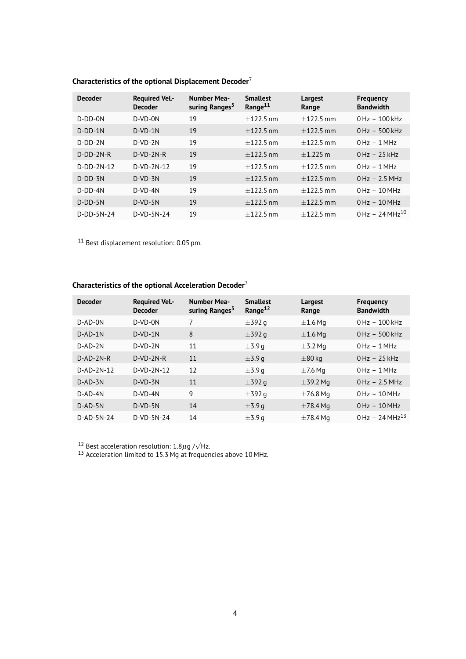| <b>Decoder</b> | <b>Required Vel.-</b><br><b>Decoder</b> | <b>Number Mea-</b><br>suring Ranges <sup>5</sup> | <b>Smallest</b><br>Range <sup>11</sup> | Largest<br>Range | <b>Frequency</b><br><b>Bandwidth</b> |
|----------------|-----------------------------------------|--------------------------------------------------|----------------------------------------|------------------|--------------------------------------|
| $D-DD-ON$      | $D-VD-ON$                               | 19                                               | $+122.5$ nm                            | $+122.5$ mm      | $0 Hz - 100 kHz$                     |
| $D-DD-1N$      | $D-VD-1N$                               | 19                                               | $+122.5$ nm                            | $+122.5$ mm      | $0$ Hz $-500$ kHz                    |
| $D-DD-2N$      | $D-VD-2N$                               | 19                                               | $+122.5$ nm                            | $+122.5$ mm      | $0$ Hz $-1$ MHz                      |
| $D-DD-2N-R$    | $D-VD-2N-R$                             | 19                                               | $+122.5$ nm                            | $+1.225$ m       | $0 Hz - 25 kHz$                      |
| $D-DD-2N-12$   | $D-VD-2N-12$                            | 19                                               | $+122.5$ nm                            | $+122.5$ mm      | $0$ Hz $-1$ MHz                      |
| $D-DD-3N$      | $D-VD-3N$                               | 19                                               | $+122.5$ nm                            | $+122.5$ mm      | $0 Hz - 2.5 MHz$                     |
| $D-DD-4N$      | $D-VD-4N$                               | 19                                               | $+122.5$ nm                            | $+122.5$ mm      | $0 Hz - 10 MHz$                      |
| $D-DD-5N$      | $D-VD-5N$                               | 19                                               | $+122.5$ nm                            | $+122.5$ mm      | $0 Hz - 10 MHz$                      |
| $D-DD-5N-24$   | $D-VD-5N-24$                            | 19                                               | $+122.5$ nm                            | $+122.5$ mm      | $0$ Hz - 24 MHz <sup>10</sup>        |

## **Characteristics of the optional Displacement Decoder**<sup>7</sup>

<sup>11</sup> Best displacement resolution: 0.05 pm.

#### **Characteristics of the optional Acceleration Decoder**<sup>7</sup>

| <b>Decoder</b> | <b>Required Vel.-</b><br><b>Decoder</b> | <b>Number Mea-</b><br>suring Ranges <sup>5</sup> | <b>Smallest</b><br>Range <sup>12</sup> | Largest<br>Range | <b>Frequency</b><br><b>Bandwidth</b> |
|----------------|-----------------------------------------|--------------------------------------------------|----------------------------------------|------------------|--------------------------------------|
| $D-AD-ON$      | $D-VD-ON$                               | 7                                                | $\pm$ 392 g                            | $\pm 1.6$ Mg     | $0 Hz - 100 kHz$                     |
| $D$ -AD-1N     | $D-VD-1N$                               | 8                                                | $\pm$ 392 g                            | $\pm 1.6$ Mg     | $0$ Hz $-500$ kHz                    |
| $D-AD-2N$      | $D-VD-2N$                               | 11                                               | $\pm$ 3.9 q                            | $\pm$ 3.2 Mg     | $0$ Hz $-1$ MHz                      |
| $D-AD-2N-R$    | $D-VD-2N-R$                             | 11                                               | $\pm$ 3.9 q                            | $\pm 80$ kg      | $0$ Hz $-25$ kHz                     |
| $D-AD-2N-12$   | $D-VD-2N-12$                            | 12                                               | $\pm$ 3.9 g                            | $\pm$ 7.6 Mg     | $0$ Hz $-1$ MHz                      |
| $D-AD-3N$      | $D-VD-3N$                               | 11                                               | $\pm$ 392 g                            | $\pm$ 39.2 Mg    | $0$ Hz $-2.5$ MHz                    |
| D-AD-4N        | $D-VD-4N$                               | 9                                                | $\pm$ 392 a                            | $\pm$ 76.8 Mg    | $0$ Hz $-10$ MHz                     |
| $D$ -AD-5N     | $D-VD-5N$                               | 14                                               | $\pm$ 3.9 g                            | $\pm 78.4$ Mg    | $0$ Hz $-10$ MHz                     |
| $D$ -AD-5N-24  | $D-VD-5N-24$                            | 14                                               | $\pm$ 3.9 g                            | $\pm 78.4$ Mg    | $0$ Hz - 24 MHz <sup>13</sup>        |

<sup>12</sup> Best acceleration resolution:  $1.8\mu$ g / $\sqrt{Hz}$ .

 $13$  Acceleration limited to 15.3 Mg at frequencies above 10 MHz.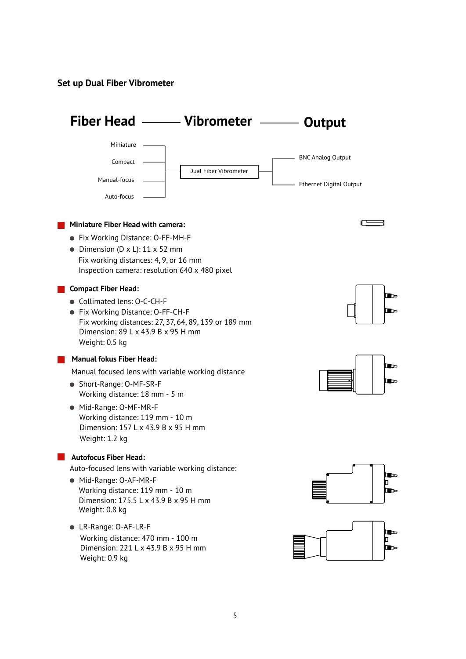**Set up Dual Fiber Vibrometer**

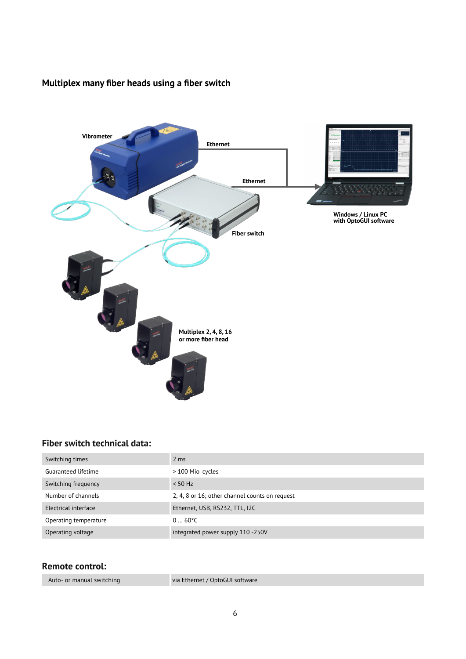## **Multiplex many fiber heads using a fiber switch**



### **Fiber switch technical data:**

| Switching times       | $2 \text{ ms}$                                 |
|-----------------------|------------------------------------------------|
| Guaranteed lifetime   | > 100 Mio cycles                               |
| Switching frequency   | $< 50$ Hz                                      |
| Number of channels    | 2, 4, 8 or 16; other channel counts on request |
| Electrical interface  | Ethernet, USB, RS232, TTL, I2C                 |
| Operating temperature | $060^{\circ}$ C                                |
| Operating voltage     | integrated power supply 110 -250V              |

#### **Remote control:**

Auto- or manual switching

via Ethernet / OptoGUI software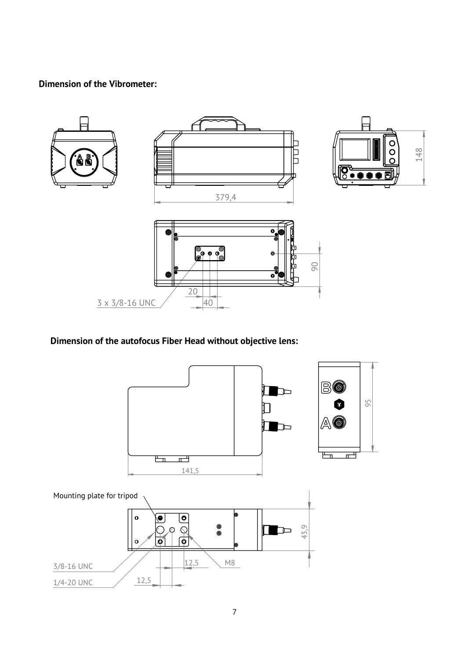## **Dimension of the Vibrometer:**



## **Dimension of the autofocus Fiber Head without objective lens:**

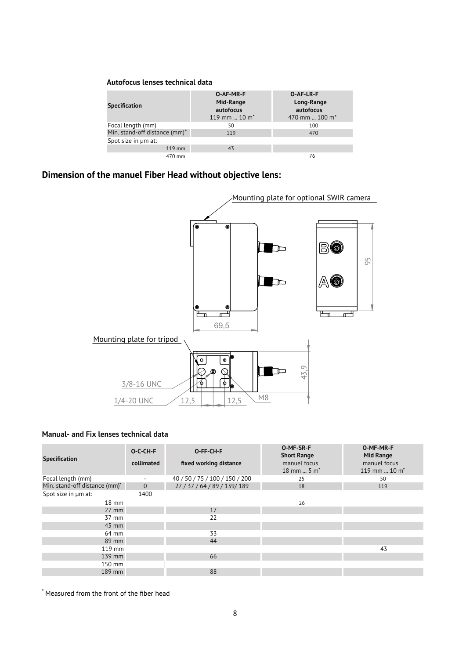#### **Autofocus lenses technical data**

| <b>Specification</b>          | O-AF-MR-F<br>Mid-Range<br>autofocus<br>119 mm $10 \text{ m}^*$ | <b>O-AF-LR-F</b><br>Long-Range<br>autofocus<br>470 mm  100 m <sup>*</sup> |
|-------------------------------|----------------------------------------------------------------|---------------------------------------------------------------------------|
| Focal length (mm)             | 50                                                             | 100                                                                       |
| Min. stand-off distance (mm)* | 119                                                            | 470                                                                       |
| Spot size in um at:           |                                                                |                                                                           |
| 119 mm                        | 43                                                             |                                                                           |
| 470 mm                        |                                                                | 76                                                                        |

### **Dimension of the manuel Fiber Head without objective lens:**



#### **Manual- and Fix lenses technical data**

|                               | O-C-CH-F                 | O-FF-CH-F                      | O-MF-SR-F<br><b>Short Range</b>           | O-MF-MR-F<br>Mid Range          |
|-------------------------------|--------------------------|--------------------------------|-------------------------------------------|---------------------------------|
| <b>Specification</b>          | collimated               | fixed working distance         | manuel focus<br>$18$ mm  5 m <sup>*</sup> | manuel focus<br>119 mm $10 m^*$ |
| Focal length (mm)             | $\overline{\phantom{a}}$ | 40 / 50 / 75 / 100 / 150 / 200 | 25                                        | 50                              |
| Min. stand-off distance (mm)* | $\overline{0}$           | 27 / 37 / 64 / 89 / 139/ 189   | 18                                        | 119                             |
| Spot size in um at:           | 1400                     |                                |                                           |                                 |
| $18 \text{ mm}$               |                          |                                | 26                                        |                                 |
| $27$ mm                       |                          | 17                             |                                           |                                 |
| 37 mm                         |                          | 22                             |                                           |                                 |
| 45 mm                         |                          |                                |                                           |                                 |
| 64 mm                         |                          | 33                             |                                           |                                 |
| 89 mm                         |                          | 44                             |                                           |                                 |
| 119 mm                        |                          |                                |                                           | 43                              |
| 139 mm                        |                          | 66                             |                                           |                                 |
| 150 mm                        |                          |                                |                                           |                                 |
| 189 mm                        |                          | 88                             |                                           |                                 |

\* Measured from the front of the fiber head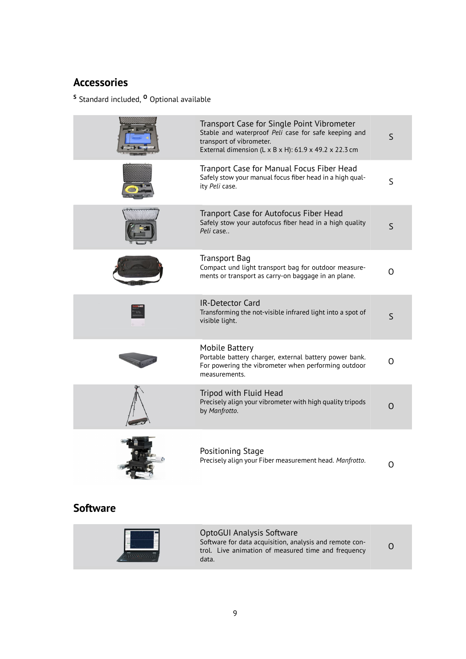## **Accessories**

**<sup>S</sup>** Standard included, **<sup>O</sup>** Optional available

| Transport Case for Single Point Vibrometer<br>Stable and waterproof Peli case for safe keeping and<br>transport of vibrometer.<br>External dimension (L x B x H): 61.9 x 49.2 x 22.3 cm | S            |
|-----------------------------------------------------------------------------------------------------------------------------------------------------------------------------------------|--------------|
| Tranport Case for Manual Focus Fiber Head<br>Safely stow your manual focus fiber head in a high qual-<br>ity Peli case.                                                                 | S            |
| Tranport Case for Autofocus Fiber Head<br>Safely stow your autofocus fiber head in a high quality<br>Peli case                                                                          | S            |
| Transport Bag<br>Compact und light transport bag for outdoor measure-<br>ments or transport as carry-on baggage in an plane.                                                            | Ω            |
| <b>IR-Detector Card</b><br>Transforming the not-visible infrared light into a spot of<br>visible light.                                                                                 | $\mathsf{S}$ |
| Mobile Battery<br>Portable battery charger, external battery power bank.<br>For powering the vibrometer when performing outdoor<br>measurements.                                        | O            |
| Tripod with Fluid Head<br>Precisely align your vibrometer with high quality tripods<br>by Manfrotto.                                                                                    | O            |
| Positioning Stage<br>Precisely align your Fiber measurement head. Manfrotto.                                                                                                            | O            |

## **Software**

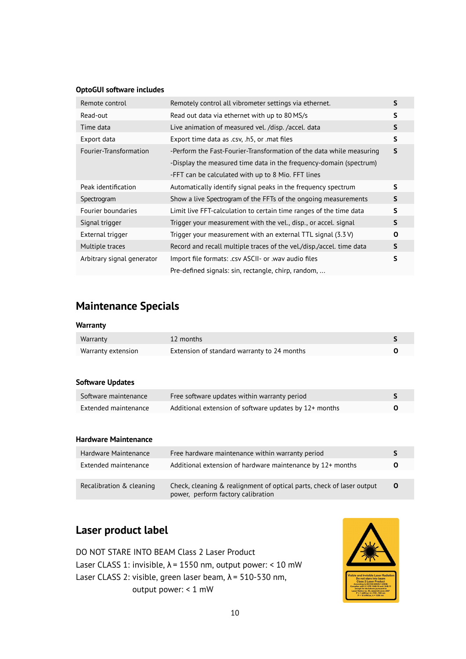#### **OptoGUI software includes**

| Remote control             | Remotely control all vibrometer settings via ethernet.                 | S            |
|----------------------------|------------------------------------------------------------------------|--------------|
| Read-out                   | Read out data via ethernet with up to 80 MS/s                          | S            |
| Time data                  | Live animation of measured vel. /disp. /accel. data                    | $\mathsf{S}$ |
| Export data                | Export time data as .csv, .h5, or .mat files                           | S            |
| Fourier-Transformation     | -Perform the Fast-Fourier-Transformation of the data while measuring   | S            |
|                            | -Display the measured time data in the frequency-domain (spectrum)     |              |
|                            | -FFT can be calculated with up to 8 Mio. FFT lines                     |              |
| Peak identification        | Automatically identify signal peaks in the frequency spectrum          | S            |
| Spectrogram                | Show a live Spectrogram of the FFTs of the ongoing measurements        | S            |
| Fourier boundaries         | Limit live FFT-calculation to certain time ranges of the time data     | S            |
| Signal trigger             | Trigger your measurement with the vel., disp., or accel. signal        | S            |
| External trigger           | Trigger your measurement with an external TTL signal $(3.3 \text{ V})$ | 0            |
| Multiple traces            | Record and recall multiple traces of the vel./disp./accel. time data   | S            |
| Arbitrary signal generator | Import file formats: .csv ASCII- or .wav audio files                   | S            |
|                            | Pre-defined signals: sin, rectangle, chirp, random,                    |              |

## **Maintenance Specials**

#### **Warranty**

| Warranty           | 12 months                                   |  |
|--------------------|---------------------------------------------|--|
| Warranty extension | Extension of standard warranty to 24 months |  |

#### **Software Updates**

| Software maintenance | Free software updates within warranty period           |  |
|----------------------|--------------------------------------------------------|--|
| Extended maintenance | Additional extension of software updates by 12+ months |  |

#### **Hardware Maintenance**

| Hardware Maintenance     | Free hardware maintenance within warranty period                                                            |   |
|--------------------------|-------------------------------------------------------------------------------------------------------------|---|
| Extended maintenance     | Additional extension of hardware maintenance by 12+ months                                                  | O |
|                          |                                                                                                             |   |
| Recalibration & cleaning | Check, cleaning & realignment of optical parts, check of laser output<br>power, perform factory calibration | O |

## **Laser product label**

DO NOT STARE INTO BEAM Class 2 Laser Product Laser CLASS 1: invisible,  $\lambda$  = 1550 nm, output power: < 10 mW Laser CLASS 2: visible, green laser beam,  $\lambda$  = 510-530 nm, output power: < 1 mW